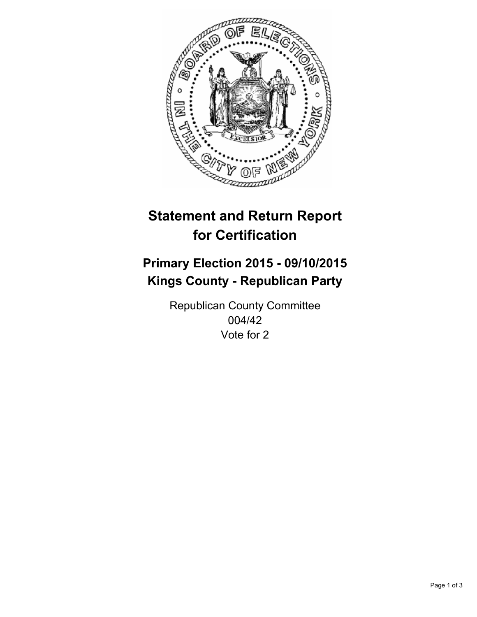

# **Statement and Return Report for Certification**

## **Primary Election 2015 - 09/10/2015 Kings County - Republican Party**

Republican County Committee 004/42 Vote for 2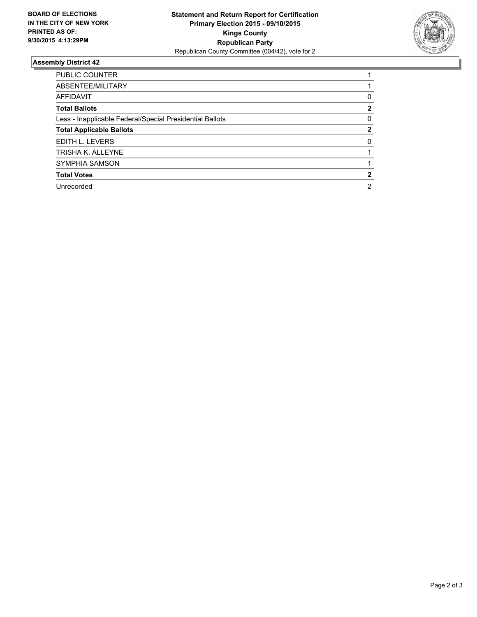

#### **Assembly District 42**

| <b>PUBLIC COUNTER</b>                                    |   |
|----------------------------------------------------------|---|
| ABSENTEE/MILITARY                                        |   |
| <b>AFFIDAVIT</b>                                         | 0 |
| <b>Total Ballots</b>                                     | 2 |
| Less - Inapplicable Federal/Special Presidential Ballots | 0 |
| <b>Total Applicable Ballots</b>                          | 2 |
| EDITH L. LEVERS                                          | 0 |
| TRISHA K. ALLEYNE                                        |   |
| <b>SYMPHIA SAMSON</b>                                    |   |
| <b>Total Votes</b>                                       |   |
| Unrecorded                                               | 2 |